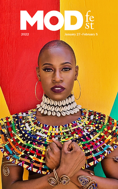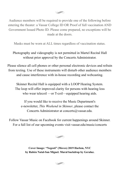Audience members will be required to provide one of the following before entering the theater: a Vassar College ID OR Proof of full vaccination AND Government Issued Photo ID. Please come prepared, no exceptions will be made at the doors.

Masks must be worn at ALL times regardless of vaccination status.

# Photography and videography is not permitted in Martel Recital Hall without prior approval by the Concerts Administrator.

Please silence all cell phones or other personal electronic devices and refrain from texting. Use of these instruments will disturb other audience members and cause interference with in-house recording and webcasting.

Skinner Recital Hall is equipped with a LOOP Hearing System. The loop will offer improved clarity for persons with hearing loss who wear telecoil —or T-coil—equipped hearing aids.

If you would like to receive the Music Department's e-newsletter, *This Weekend in Skinner*, please contact the Concerts Administrator at concerts@vassar.edu.

Follow Vassar Music on Facebook for current happenings around Skinner. For a full list of our upcoming events visit vassar.edu/music/concerts

 $\circledast$ 

**Cover Image: "Negesti" (Moves) 2019 Harlem, NYC by Rubén Natal-San Miguel. Mural backdrop by Geraluz.**

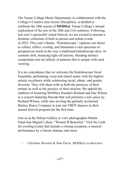The Vassar College Music Department, in collaboration with the College's Creative Arts Across Disciplines, is thrilled to celebrate the 20th season of **MODfest**, Vassar College's annual exploration of the arts of the 20th and 21st centuries. Following last year's successful virtual festival, we are excited to present a dynamic collection of both in-person and online events in 2022. This year's theme, "Kaleidoscope," captures our desire to collect, reflect, overlap, and illuminate a rich spectrum of perspectives much in the way a traditional kaleidoscope does: its contents shift, bouncing light off mirrors, blending distinct components into an infinity of patterns that is unique with each viewing.

It is no coincidence that we welcome the Kaleidoscope Vocal Ensemble, performing vocal and choral music with the highest artistic excellence while celebrating racial, ethnic, and gender diversity. They will share with us both the practices of their artistry as well as the practice of their mission. We uphold the tradition of honoring MODfest founders Richard and Dee Wilson in a concert featuring Decoda that will premiere a new piece by Richard Wilson, while also inviting the globally acclaimed Battery Dance Company to join our VRDT dancers in their annual festival program for the first time.

Join us at the Palmer Gallery to view photographer Rubén Natal-San Miguel's show, "Women R Beautiful." Visit the Loeb for exciting events that include a closing reception, a musical performance by a Vassar alumna, and more.

*- Christine Howlett & Tom Pacio, MODfest co-directors*

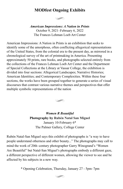# **MODfest Ongoing Exhibits**



*American Impressions: A Nation in Prints* October 9, 2021–February 6, 2022 The Frances Lehman Loeb Art Center

American Impressions: A Nation in Prints is an exhibition that seeks to identify some of the amorphous, often conflicting allegorical representations of the United States, from the colonial era to the present day, as mirrored in a chronological survey of the art of printmaking in America. Presenting approximately 50 prints, rare books, and photographs selected entirely from the collections of the Frances Lehman Loeb Art Center and the Department of Special Collections at the Library at Vassar College, the exhibition is divided into four sections: Allegorical Landscapes; Narrative Histories; American Identities; and Contemporary Complexities. Within these four sections, the works have been grouped together to generate a series of visual discourses that contrast various narrative themes and perspectives that offer multiple symbolic representations of the nation



*Women R Beautiful* **Photography by Rubén Natal San Miguel** January 10-February 6\* The Palmer Gallery, College Center

Rubén Natal-San Miguel says this exhibit of photographs is "a way to have people understand otherness and other beauty..." The photographs may call to mind the work of 20th–century photographer Garry Winogrand's "Women Are Beautiful" but Natal-San Miguel's photographs embody a different gaze, a different perspective of different women, allowing the viewer to see and be affected by his subjects in a new way.

\* Opening Celebration, Thursday, January 27 - 5pm–7pm

#### $\left( \right)$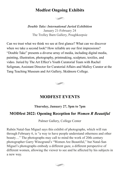# **Modfest Ongoing Exhibits**



*Double Take: International Juried Exhibition* January 21-February 24 The Trolley Barn Gallery, Poughkeepsie

Can we trust what we think we see at first glance? What can we discover when we take a second look? How reliable are our first impressions? "Double Take" presents a diverse array of media, including digital media, painting, illustration, photography, printmaking, sculpture, textiles, and video. Juried by The Art Effect's Youth Curatorial Team with Rachel Seligman, Assistant Director for Curatorial Affairs and Malloy Curator at the Tang Teaching Museum and Art Gallery, Skidmore College.



# **MODFEST EVENTS**

### **Thursday, January 27, 5pm to 7pm**

# **MODfest 2022: Opening Reception for** *Women R Beautiful*

Palmer Gallery, College Center

Rubén Natal-San Miguel says this exhibit of photographs, which will run through February 6, is "a way to have people understand otherness and other beauty…" The photographs may call to mind the work of 20th century photographer Garry Winogrand's "Women Are Beautiful," but Natal-San Miguel's photographs embody a different gaze, a different perspective of different women, allowing the viewer to see and be affected by his subjects in a new way.

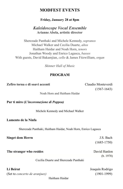# **MODFEST EVENTS**

### **Friday, January 28 at 8pm**

# *Kaleidoscope Vocal Ensemble* **Arianne Abela, artistic director**

Sherezade Panthaki and Michele Kennedy, *sopranos* Michael Walker and Cecilia Duarte, *altos* Haitham Haidar and Noah Horn, *tenors* Jonathan Woody and Enrico Lagasca, *basses* With guests, David Bakamjian, *cello* & James Fitzwilliam, *organ*

*Skinner Hall of Music*

# **PROGRAM**

**Zefiro torna e di soavi accenti** Claudio Monteverdi

(1567-1643)

Noah Horn and Haitham Haidar

**Pur ti miro (***L'incoronazione di Poppea)*

Michele Kennedy and Michael Walker

### **Lamento de la Ninfa**

Sherezade Panthaki, Haitham Haidar, Noah Horn, Enrico Lagasca

| <b>Singet dem Herrn</b> | J.S. Bach       |
|-------------------------|-----------------|
|                         | $(1685 - 1750)$ |

**The stranger who resides** David Hanlon

Cecilia Duarte and Sherezade Panthaki

**Li Beirut** Joaquín Rodrigo (Set to *concerto de aranjuez)* (1901-1999)

(b. 1978)

Haitham Haidar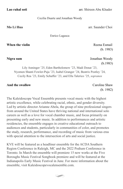**Lao rahal soti** arr. Shireen Abu Khader

#### Cecilia Duarte and Jonathan Woody

**Mo Li Hua** arr. Saunder Choi

Enrico Lagasca

**When the violin Reena Esmail Reena Esmail Reena Esmail** 

(b. 1983)

**Nigra sum** Jonathan Woody

(b.1983)

Lily Anninger '25, Eden Bartholomew '23, Madi Donat '23, Nyomen Shanti Fowler-Puja '23, Isabel Granger '24, Beatrix Postley '24, Cecily Rea '23, Emily Schaffer '23, and Ella Talerico '25, *sopranos*

### **And the swallow** Caroline Shaw

(b. 1982)

The Kaleidoscope Vocal Ensemble presents vocal music with the highest artistic excellence, while celebrating racial, ethnic, and gender diversity. Led by artistic director Arianne Abela, the group of nine professional singers from around the United States have thriving national and international solo careers as well as a love for vocal chamber music, and focus primarily on presenting early and new music. In addition to performances and artistic residencies, the ensemble engages in creative educational outreach to audiences and students, particularly in communities of color, and promotes the study, research, performance, and recording of music from various eras with special attention to the intersection of arts and social justice.

KVE will be featured as a headliner ensemble for the ACDA Southern Region Conference in Raleigh, MC and the 2022 Podium Conference in Toronto. In March the ensemble will premiere 15 new works at the Five Boroughs Music Festival Songbook premiere and will be featured at the Indianapolis Early Music Festival in June. For more information about the ensemble, visit Kaleidoscopevocalensemble.com.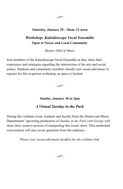

### **Saturday, January 29 - 10am–12 noon**

# *Workshop: Kaleidoscope Vocal Ensemble* **Open to Vassar and Local Community**

*Skinner Hall of Music*

Join members of the Kaleidoscope Vocal Ensemble as they share their experience and strategies regarding the intersection of the arts and social justice. Students and community members should visit vassar.edu/music to register for this in-person workshop, as space is limited.



**Sunday, January 30 at 3pm**

# *A Virtual Sunday in the Park*

During this webinar event, students and faculty from the Drama and Music Departments' upcoming production of *Sunday in the Park with George* will share their creative process of interpreting this iconic show. This moderated conversation will also invite questions from the audience.

*Please visit vassar.edu/music/modfest for the webinar link.*

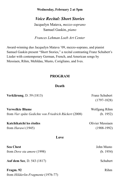**Wednesday, February 2 at 5pm**

*Voice Recital: Short Stories*

Jacquelyn Matava, *mezzo-soprano* Samuel Gaskin, *piano*

*Frances Lehman Loeb Art Center*

Award-winning duo Jacquelyn Matava '09, mezzo-soprano, and pianist Samuel Gaskin present "Short Stories," a recital contrasting Franz Schubert's Lieder with contemporary German, French, and American songs by Messiaen, Rihm, Mehldau, Musto, Corigliano, and Ives.

### **PROGRAM**

### **Death**

| Verklärung, D. 59 (1813)                              | Franz Schubert   |  |  |
|-------------------------------------------------------|------------------|--|--|
|                                                       | $(1797-1828)$    |  |  |
| <b>Verwelkte Blume</b>                                | Wolfgang Rihm    |  |  |
| from Vier späte Gedichte von Friedrich Rückert (2008) | (b. 1952)        |  |  |
| Katchikatchi les étoiles                              | Olivier Messiaen |  |  |
| from <i>Harawi</i> (1945)                             | $(1908-1992)$    |  |  |
| Love                                                  |                  |  |  |
| <b>Sea Chest</b>                                      | John Musto       |  |  |
| from <i>Dove sta amore</i> (1998)                     | (b. 1954)        |  |  |
| <b>Auf dem See, D. 543 (1817)</b>                     | Schubert         |  |  |
| Fragm. 92                                             | Rihm             |  |  |
| from <i>Hölderlin-Fragmente</i> (1976-77)             |                  |  |  |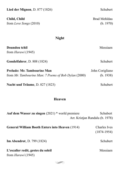| Lied der Mignon, D. 877 (1826)                                                      | Schubert                     |
|-------------------------------------------------------------------------------------|------------------------------|
| Child, Child<br>from Love Songs (2010)                                              | Brad Mehldau<br>(b. 1970)    |
| <b>Night</b>                                                                        |                              |
| Doundou tchil<br>from <i>Harawi</i> (1945)                                          | Messiaen                     |
| <b>Gondelfahrer</b> , D. 808 (1824)                                                 | Schubert                     |
| Prelude: Mr. Tambourine Man<br>from Mr. Tambourine Man: 7 Poems of Bob Dylan (2000) | John Corigliano<br>(b. 1938) |
| Nacht und Träume, D. 827 (1823)                                                     | Schubert                     |
|                                                                                     |                              |

# **Heaven**

| Auf dem Wasser zu singen $(2021)$ * world premiere              | Schubert<br>Arr. Kristjan Randalu (b. 1978) |  |
|-----------------------------------------------------------------|---------------------------------------------|--|
| <b>General William Booth Enters into Heaven (1914)</b>          | Charles Ives<br>$(1874-1954)$               |  |
| <b>Im Abendrot</b> , D. 799 (1824)                              | Schubert                                    |  |
| L'escalier redit, gestes du soleil<br>from <i>Harawi</i> (1945) | Messiaen                                    |  |
|                                                                 |                                             |  |

 $\begin{picture}(120,20) \put(0,0){\line(1,0){10}} \put(15,0){\line(1,0){10}} \put(15,0){\line(1,0){10}} \put(15,0){\line(1,0){10}} \put(15,0){\line(1,0){10}} \put(15,0){\line(1,0){10}} \put(15,0){\line(1,0){10}} \put(15,0){\line(1,0){10}} \put(15,0){\line(1,0){10}} \put(15,0){\line(1,0){10}} \put(15,0){\line(1,0){10}} \put(15,0){\line($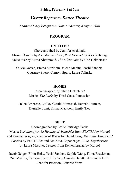### **Friday, February 4 at 7pm**

## *Vassar Repertory Dance Theatre*

*Frances Daly Fergusson Dance Theater, Kenyon Hall*

### **PROGRAM**

#### **UNTITLED**

Choreographed by Jennifer Archibald Music: *Drippin* by Ase Manual Crate, *Rust Descent* by Alex Rehberg, voice over by Maria Abramović, *The Silent Lake* by Uno Helmersson

Olivia Gotsch, Emma Mazloom, Jalene Medina, Yoshi Sanders, Courtney Spero, Camryn Spero, Laura Tylinska

#### **HOMES**

Choreographed by Olivia Gotsch '23 Music: *The Locks* by Third Coast Percussion

Helen Ambrose, Cailley Gerald-Yamasaki, Hannah Littman, Danielle Lomi, Emma Mazloom, Emily Tieu

#### **SHiFT**

Choreographed by Leslie Partridge-Sachs Music: *Variations for the Healing of Arinushka* from STATEA by Murcof and Vanessa Wagner, *Theater of Voices* by David Lang, *The Little Match Girl Passion* by Paul Hillier and Ars Nova Copenhagen, *I Lie, Togetherness* by Laura Masotto, *Camino* from Remembranza by Murcof

Jacob Geiger, Elliot Hoke, Yoshi Sanders, Sophie Wang, Fiona Bruckman, Zoe Mueller, Camryn Spero, Lily Gee, Cassidy Baratte, Alexandra Duff, Jennifer Peterson, Eduardo Varas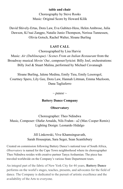### **table and chair**

Choreography by Steve Rooks Music: Original Score by Howard Kilik

David Shively-Ertas, Dora Law, Eva Gubitez-Hess, Helen Ambrose, Julia Dawson, Ki'tsai Zangpo, Natalie Junio-Thompson, Nerissa Tunnessen, Olivia Gotsch, Rachel Walter, Sloane Burling

### **LAST CALL**

Choreographed by Lisa Harvie Music: *Air (Dublinesque) / Scenes From an Italian Restaurant* from the Broadway musical *Movin' Out*, composer/lyricist: Billy Joel, orchestrations: Billy Joel & Stuart Malina, performed by Michael Cavanaugh

Sloane Burling, Jalene Medina, Emily Tieu, Emily Lesorogol, Courtney Spero, Lily Gee, Dora Law, Hannah Littman, Emma Mazloom, Dana Tagliaferro

 $\sim$  *pause*  $\sim$ 

### **Battery Dance Company**

### **Observatory**

Choreographer: Theo Ndindwa Music, Composer: Olafur Arnalds, Nils Frahm - a2 (Max Cooper Remix) Lighting Design: Leonardo Hidalgo

> Jill Linkowski, Vive Khamsingsavath, Sarah Housepian, Sara Seger, Sean Scantlebury

Created on commission following Battery Dance's national tour of South Africa, *Observatory* is named for the Cape Town neighborhood where its choreographer Theo Ndindwa resides with creative partner Tanya Arshamian. The piece has traveled worldwide on the Company's various State Department tours.

An integral part of the fabric of New York City for 44 years, **Battery Dance** performs on the world's stages, teaches, presents, and advocates for the field of dance. The Company is dedicated to the pursuit of artistic excellence and the availability of the Arts to everyone.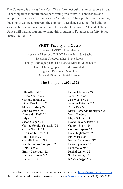The Company is among New York City's foremost cultural ambassadors through its participation in international performing arts festivals, conferences and symposia throughout 70 countries on 6 continents. Through the award winning Dancing to Connect program, the company uses dance as a tool for building social cohesion and resolving conflict throughout the world. VC and Battery Dance will partner together to bring this program to Poughkeepsie City School District in Fall '22.

# **VRDT Faculty and Guests**

Director of VRDT: John Meehan Assistant Director of VRDT: Leslie Partridge Sachs Resident Choreographer: Steve Rooks Faculty Choreographers: Lisa Harvie, Miriam Mahdaviani Guest Choreographer: Jennifer Archibald Lighting Designer: David Ferri Musical Director: Daniel Pressler

# **The Company 2021-2022**

Ella Albrecht '25 Helen Ambrose '25 Cassidy Baratta '24 Fiona Bruckman '22 Sloane Burling '22 Julia Dawson '24 Alexandra Duff '24 Lily Gee '23 Jacob Geiger '25 Cailley Gerald-Yamasaki '22 Olivia Gotsch '23 Eva Gubitz-Hess '24 Elliot Hoke '22 Camille Jannuzi '25 Natalie Junio-Thompson '23 Dora Law '23 Emily Lesorogol '22 Hannah Littman '22 Danielle Lomi '23

Emma Mazloom '24 Jalene Medina '23 Zoe Mueller '23 Jennifer Peterson '22 Abby Rice '25 Maria-Fernanda Rodriguez '24 Yoshi Sanders '24 Maya Schiller '24 David Shively-Ertas '24 Camryn Spero '24 Courtney Spero '24 Dana Tagliaferro '25 Emily Tieu '24 Nerissa Tunnessen '22 Laura Tylinska '23 Eduardo Varas '23 Rachel Walter '22 Sophie Wang '22 Ki'tsai Zangpo '25

This is a free ticketed event. Reservations are required at [https://vassardance.tix.com.](https://vassardance.tix.com) For additional information please email:  $dance@vassar.edu$  $dance@vassar.edu$  or call (845) 437-5541.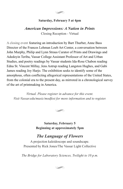

### **Saturday, February 5 at 4pm**

*American Impressions: A Nation in Prints* Closing Reception - Virtual

A closing event featuring an introduction by Bart Thurber, Anne Bass Director of the Frances Lehman Loeb Art Center, a conversation between John Murphy, Philip and Lynn Straus Curator of Prints and Drawings and Adedoyin Teriba, Vassar College Assistant Professor of Art and Urban Studies, and poetry readings by Vassar students Ida-Rose Chabon reading Edna St. Vincent Millay, Jens Astrup reading Langston Hughes, and Gabi James reading Joy Harjo. The exhibition seeks to identify some of the amorphous, often conflicting allegorical representations of the United States, from the colonial era to the present day, as mirrored in a chronological survey of the art of printmaking in America.

*Virtual. Please register in advance for this event. Visit Vassar.edu/music/modfest for more information and to register.*



**Saturday, February 5 Beginning at approximately 5pm**

# *The Language of Flowers*

A projection kaleidoscope and soundscape. Presented by Rick Jones/The Vassar Light Collective

*The Bridge for Laboratory Sciences, Twilight to 10 p.m.*

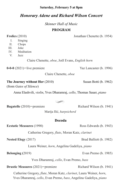#### **Saturday, February 5 at 8pm**

### *Honorary Adene and Richard Wilson Concert*

*Skinner Hall of Music*

#### **PROGRAM**

Jonathan Chenette (b. 1954)

| <b>Frolics</b> (2010) |  |  |  |
|-----------------------|--|--|--|
|                       |  |  |  |

- I. Singing
- II. Chops
- III. Joke
- IV. Meditation
- V. Jazz

Claire Chenette, *oboe*, Joël Evans, *English horn*

**0-0-0** (2021)—live premiere Yaz Lancaster (b. 1996)

Claire Chenette, *oboe*

### **The Journey without Her** (2010) Susan Botti (b. 1962)

(from *Gates of Silence*)

Anna Elashvili, *violin*, Yves Dharamraj, *cello*, Thomas Sauer, *piano*



**Bagatelle** (2010)—premiere Richard Wilson (b. 1941)

Marija Ilić, *harpsichord*

### **Decoda**

**Ecstatic Measures** (1990) Ross Edwards (b. 1943)

Catherine Gregory, *flute*, Moran Katz, *clarinet*

Laura Weiner, *horn*, Angelina Gadeliya, *piano*

Yves Dharamraj, *cello*, Evan Premo, *bass*

**Drastic Measures** (2021)—premiere Richard Wilson (b. 1941)

Catherine Gregory, *flute*, Moran Katz, *clarinet*, Laura Weiner, *horn*, Yves Dharamraj, *cello*, Evan Premo, *bass*, Angelina Gadeliya, *piano*

**Nested Elegy** (2017) Brad Balliett (b. 1982)

**Belonging (2019)** Evan Premo (b. 1985)